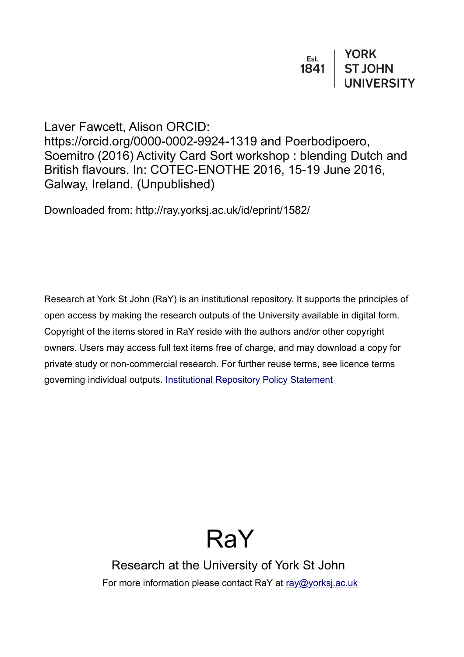Laver Fawcett, Alison ORCID: https://orcid.org/0000-0002-9924-1319 and Poerbodipoero, Soemitro (2016) Activity Card Sort workshop : blending Dutch and British flavours. In: COTEC-ENOTHE 2016, 15-19 June 2016, Galway, Ireland. (Unpublished)

Downloaded from: http://ray.yorksj.ac.uk/id/eprint/1582/

Research at York St John (RaY) is an institutional repository. It supports the principles of open access by making the research outputs of the University available in digital form. Copyright of the items stored in RaY reside with the authors and/or other copyright owners. Users may access full text items free of charge, and may download a copy for private study or non-commercial research. For further reuse terms, see licence terms governing individual outputs. [Institutional Repository Policy Statement](https://www.yorksj.ac.uk/ils/repository-policies/)

# RaY

Research at the University of York St John For more information please contact RaY at [ray@yorksj.ac.uk](mailto:ray@yorksj.ac.uk)